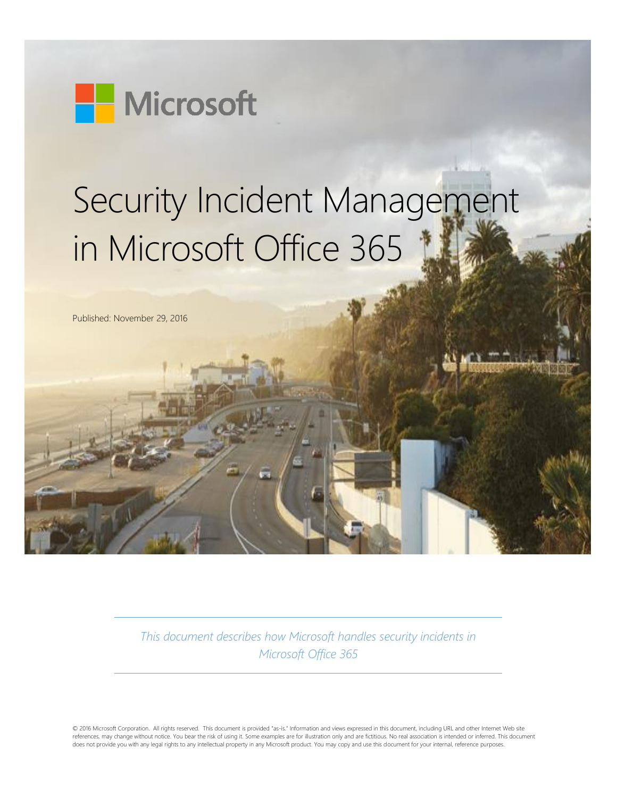

# Security Incident Management in Microsoft Office 365

Published: November 29, 2016

*This document describes how Microsoft handles security incidents in Microsoft Office 365*

© 2016 Microsoft Corporation. All rights reserved. This document is provided "as-is." Information and views expressed in this document, including URL and other Internet Web site references, may change without notice. You bear the risk of using it. Some examples are for illustration only and are fictitious. No real association is intended or inferred. This document does not provide you with any legal rights to any intellectual property in any Microsoft product. You may copy and use this document for your internal, reference purposes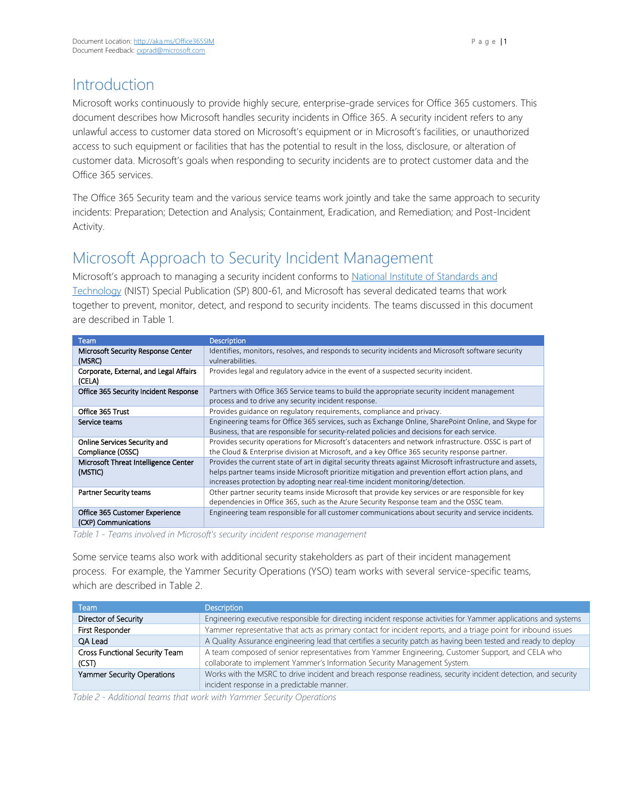# Introduction

Microsoft works continuously to provide highly secure, enterprise-grade services for Office 365 customers. This document describes how Microsoft handles security incidents in Office 365. A security incident refers to any unlawful access to customer data stored on Microsoft's equipment or in Microsoft's facilities, or unauthorized access to such equipment or facilities that has the potential to result in the loss, disclosure, or alteration of customer data. Microsoft's goals when responding to security incidents are to protect customer data and the Office 365 services.

The Office 365 Security team and the various service teams work jointly and take the same approach to security incidents: Preparation; Detection and Analysis; Containment, Eradication, and Remediation; and Post-Incident Activity.

# Microsoft Approach to Security Incident Management

Microsoft's approach to managing a security incident conforms to National Institute of Standards and [Technology](https://www.nist.gov/) (NIST) Special Publication (SP) 800-61, and Microsoft has several dedicated teams that work together to prevent, monitor, detect, and respond to security incidents. The teams discussed in this document are described in Table 1.

| Team                                                   | <b>Description</b>                                                                                                                                                                                                                                                                                 |
|--------------------------------------------------------|----------------------------------------------------------------------------------------------------------------------------------------------------------------------------------------------------------------------------------------------------------------------------------------------------|
| Microsoft Security Response Center<br>(MSRC)           | Identifies, monitors, resolves, and responds to security incidents and Microsoft software security<br>vulnerabilities.                                                                                                                                                                             |
| Corporate, External, and Legal Affairs<br>(CELA)       | Provides legal and regulatory advice in the event of a suspected security incident.                                                                                                                                                                                                                |
| Office 365 Security Incident Response                  | Partners with Office 365 Service teams to build the appropriate security incident management<br>process and to drive any security incident response.                                                                                                                                               |
| Office 365 Trust                                       | Provides guidance on regulatory requirements, compliance and privacy.                                                                                                                                                                                                                              |
| Service teams                                          | Engineering teams for Office 365 services, such as Exchange Online, SharePoint Online, and Skype for<br>Business, that are responsible for security-related policies and decisions for each service.                                                                                               |
| Online Services Security and<br>Compliance (OSSC)      | Provides security operations for Microsoft's datacenters and network infrastructure. OSSC is part of<br>the Cloud & Enterprise division at Microsoft, and a key Office 365 security response partner.                                                                                              |
| Microsoft Threat Intelligence Center<br>(MSTIC)        | Provides the current state of art in digital security threats against Microsoft infrastructure and assets,<br>helps partner teams inside Microsoft prioritize mitigation and prevention effort action plans, and<br>increases protection by adopting near real-time incident monitoring/detection. |
| <b>Partner Security teams</b>                          | Other partner security teams inside Microsoft that provide key services or are responsible for key<br>dependencies in Office 365, such as the Azure Security Response team and the OSSC team.                                                                                                      |
| Office 365 Customer Experience<br>(CXP) Communications | Engineering team responsible for all customer communications about security and service incidents.                                                                                                                                                                                                 |

*Table 1 - Teams involved in Microsoft's security incident response management*

Some service teams also work with additional security stakeholders as part of their incident management process. For example, the Yammer Security Operations (YSO) team works with several service-specific teams, which are described in Table 2.

| Team                           | <b>Description</b>                                                                                               |
|--------------------------------|------------------------------------------------------------------------------------------------------------------|
| Director of Security           | Engineering executive responsible for directing incident response activities for Yammer applications and systems |
| First Responder                | Yammer representative that acts as primary contact for incident reports, and a triage point for inbound issues   |
| QA Lead                        | A Quality Assurance engineering lead that certifies a security patch as having been tested and ready to deploy   |
| Cross Functional Security Team | A team composed of senior representatives from Yammer Engineering, Customer Support, and CELA who                |
| (CST)                          | collaborate to implement Yammer's Information Security Management System.                                        |
| Yammer Security Operations     | Works with the MSRC to drive incident and breach response readiness, security incident detection, and security   |
|                                | incident response in a predictable manner.                                                                       |

*Table 2 - Additional teams that work with Yammer Security Operations*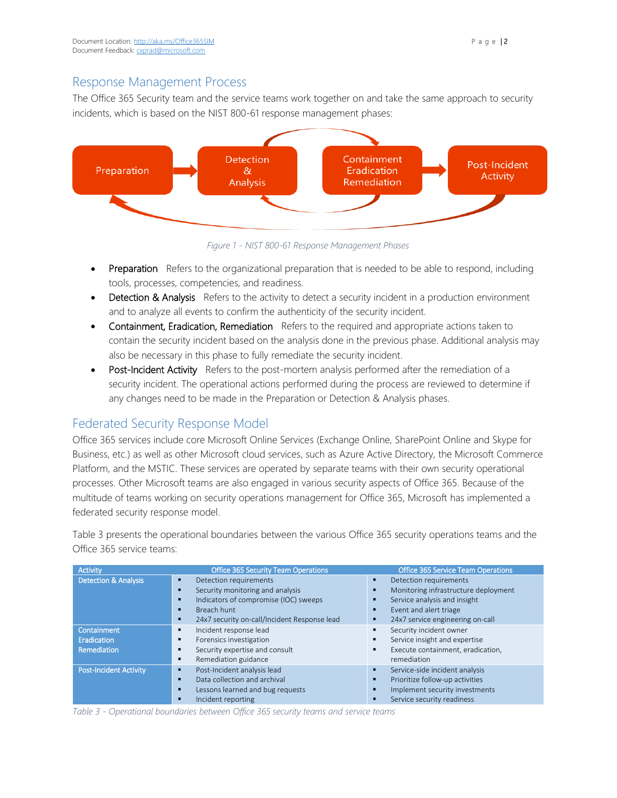## Response Management Process

The Office 365 Security team and the service teams work together on and take the same approach to security incidents, which is based on the NIST 800-61 response management phases:



*Figure 1 - NIST 800-61 Response Management Phases*

- **Preparation** Refers to the organizational preparation that is needed to be able to respond, including tools, processes, competencies, and readiness.
- Detection & Analysis Refers to the activity to detect a security incident in a production environment and to analyze all events to confirm the authenticity of the security incident.
- Containment, Eradication, Remediation Refers to the required and appropriate actions taken to contain the security incident based on the analysis done in the previous phase. Additional analysis may also be necessary in this phase to fully remediate the security incident.
- Post-Incident Activity Refers to the post-mortem analysis performed after the remediation of a security incident. The operational actions performed during the process are reviewed to determine if any changes need to be made in the Preparation or Detection & Analysis phases.

# Federated Security Response Model

Office 365 services include core Microsoft Online Services (Exchange Online, SharePoint Online and Skype for Business, etc.) as well as other Microsoft cloud services, such as Azure Active Directory, the Microsoft Commerce Platform, and the MSTIC. These services are operated by separate teams with their own security operational processes. Other Microsoft teams are also engaged in various security aspects of Office 365. Because of the multitude of teams working on security operations management for Office 365, Microsoft has implemented a federated security response model.

Table 3 presents the operational boundaries between the various Office 365 security operations teams and the Office 365 service teams:

| <b>Activity</b>                 | <b>Office 365 Security Team Operations</b>        | <b>Office 365 Service Team Operations</b>       |
|---------------------------------|---------------------------------------------------|-------------------------------------------------|
| <b>Detection &amp; Analysis</b> | Detection requirements                            | Detection requirements<br>٠                     |
|                                 | Security monitoring and analysis                  | Monitoring infrastructure deployment<br>٠       |
|                                 | Indicators of compromise (IOC) sweeps             | Service analysis and insight<br>п               |
|                                 | Breach hunt                                       | Event and alert triage<br>п                     |
|                                 | 24x7 security on-call/Incident Response lead<br>п | 24x7 service engineering on-call<br>٠           |
| Containment                     | Incident response lead                            | Security incident owner                         |
| Eradication                     | Forensics investigation<br>п                      | Service insight and expertise<br>$\blacksquare$ |
| Remediation                     | Security expertise and consult                    | Execute containment, eradication,<br>٠          |
|                                 | Remediation guidance                              | remediation                                     |
| <b>Post-Incident Activity</b>   | Post-Incident analysis lead<br>п                  | Service-side incident analysis<br>٠             |
|                                 | Data collection and archival<br>п                 | Prioritize follow-up activities<br>٠            |
|                                 | Lessons learned and bug requests                  | Implement security investments<br>٠             |
|                                 | Incident reporting                                | Service security readiness<br>п                 |

*Table 3 - Operational boundaries between Office 365 security teams and service teams*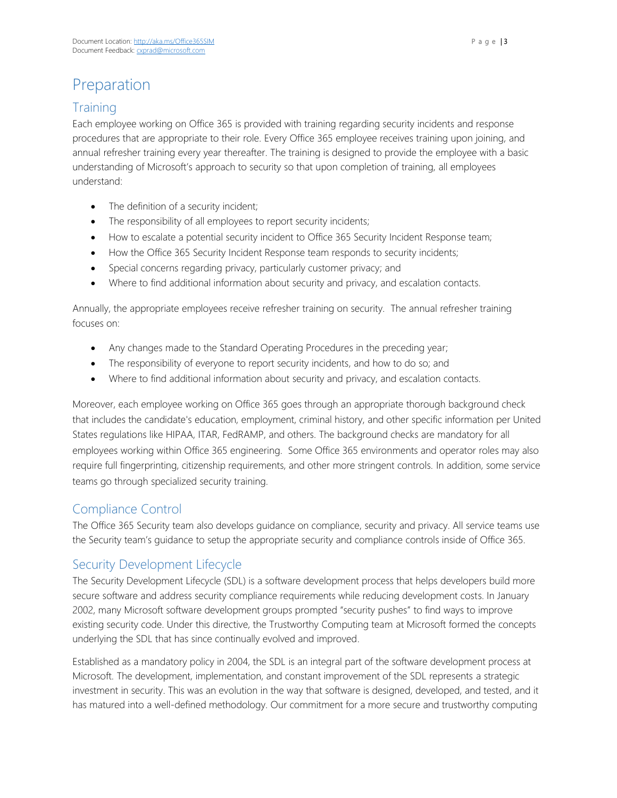# Preparation

# **Training**

Each employee working on Office 365 is provided with training regarding security incidents and response procedures that are appropriate to their role. Every Office 365 employee receives training upon joining, and annual refresher training every year thereafter. The training is designed to provide the employee with a basic understanding of Microsoft's approach to security so that upon completion of training, all employees understand:

- The definition of a security incident;
- The responsibility of all employees to report security incidents;
- How to escalate a potential security incident to Office 365 Security Incident Response team;
- How the Office 365 Security Incident Response team responds to security incidents;
- Special concerns regarding privacy, particularly customer privacy; and
- Where to find additional information about security and privacy, and escalation contacts.

Annually, the appropriate employees receive refresher training on security. The annual refresher training focuses on:

- Any changes made to the Standard Operating Procedures in the preceding year;
- The responsibility of everyone to report security incidents, and how to do so; and
- Where to find additional information about security and privacy, and escalation contacts.

Moreover, each employee working on Office 365 goes through an appropriate thorough background check that includes the candidate's education, employment, criminal history, and other specific information per United States regulations like HIPAA, ITAR, FedRAMP, and others. The background checks are mandatory for all employees working within Office 365 engineering. Some Office 365 environments and operator roles may also require full fingerprinting, citizenship requirements, and other more stringent controls. In addition, some service teams go through specialized security training.

# Compliance Control

The Office 365 Security team also develops guidance on compliance, security and privacy. All service teams use the Security team's guidance to setup the appropriate security and compliance controls inside of Office 365.

# Security Development Lifecycle

The Security Development Lifecycle (SDL) is a software development process that helps developers build more secure software and address security compliance requirements while reducing development costs. In January 2002, many Microsoft software development groups prompted "security pushes" to find ways to improve existing security code. Under this directive, the Trustworthy Computing team at Microsoft formed the concepts underlying the SDL that has since continually evolved and improved.

Established as a mandatory policy in 2004, the SDL is an integral part of the software development process at Microsoft. The development, implementation, and constant improvement of the SDL represents a strategic investment in security. This was an evolution in the way that software is designed, developed, and tested, and it has matured into a well-defined methodology. Our commitment for a more secure and trustworthy computing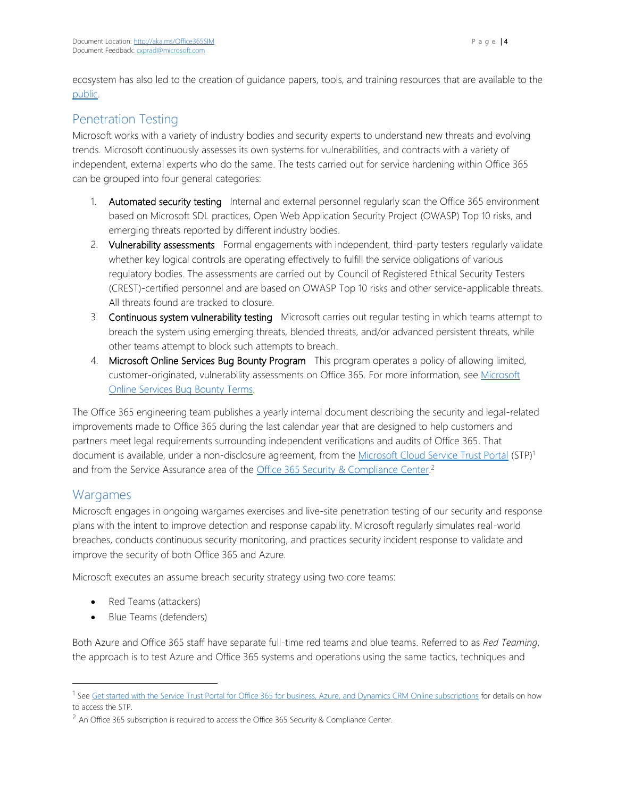ecosystem has also led to the creation of guidance papers, tools, and training resources that are available to the [public.](http://aka.ms/sdl)

# Penetration Testing

Microsoft works with a variety of industry bodies and security experts to understand new threats and evolving trends. Microsoft continuously assesses its own systems for vulnerabilities, and contracts with a variety of independent, external experts who do the same. The tests carried out for service hardening within Office 365 can be grouped into four general categories:

- 1. Automated security testing Internal and external personnel regularly scan the Office 365 environment based on Microsoft SDL practices, Open Web Application Security Project (OWASP) Top 10 risks, and emerging threats reported by different industry bodies.
- 2. Vulnerability assessments Formal engagements with independent, third-party testers regularly validate whether key logical controls are operating effectively to fulfill the service obligations of various regulatory bodies. The assessments are carried out by Council of Registered Ethical Security Testers (CREST)-certified personnel and are based on OWASP Top 10 risks and other service-applicable threats. All threats found are tracked to closure.
- 3. Continuous system vulnerability testing Microsoft carries out regular testing in which teams attempt to breach the system using emerging threats, blended threats, and/or advanced persistent threats, while other teams attempt to block such attempts to breach.
- 4. Microsoft Online Services Bug Bounty Program This program operates a policy of allowing limited, customer-originated, vulnerability assessments on Office 365. For more information, see [Microsoft](https://technet.microsoft.com/en-US/security/dn800983)  [Online Services Bug Bounty Terms.](https://technet.microsoft.com/en-US/security/dn800983)

The Office 365 engineering team publishes a yearly internal document describing the security and legal-related improvements made to Office 365 during the last calendar year that are designed to help customers and partners meet legal requirements surrounding independent verifications and audits of Office 365. That document is available, under a non-disclosure agreement, from the [Microsoft Cloud Service Trust Portal](http://aka.ms/STP) (STP)<sup>1</sup> and from the Service Assurance area of the [Office 365 Security & Compliance Center.](http://protection.office.com/)<sup>2</sup>

# Wargames

l

Microsoft engages in ongoing wargames exercises and live-site penetration testing of our security and response plans with the intent to improve detection and response capability. Microsoft regularly simulates real-world breaches, conducts continuous security monitoring, and practices security incident response to validate and improve the security of both Office 365 and Azure.

Microsoft executes an assume breach security strategy using two core teams:

- Red Teams (attackers)
- Blue Teams (defenders)

Both Azure and Office 365 staff have separate full-time red teams and blue teams. Referred to as *Red Teaming*, the approach is to test Azure and Office 365 systems and operations using the same tactics, techniques and

<sup>&</sup>lt;sup>1</sup> Se[e Get started with the Service Trust Portal for Office 365 for business, Azure, and Dynamics CRM Online subscriptions](http://aka.ms/stphelp) for details on how to access the STP.

<sup>&</sup>lt;sup>2</sup> An Office 365 subscription is required to access the Office 365 Security & Compliance Center.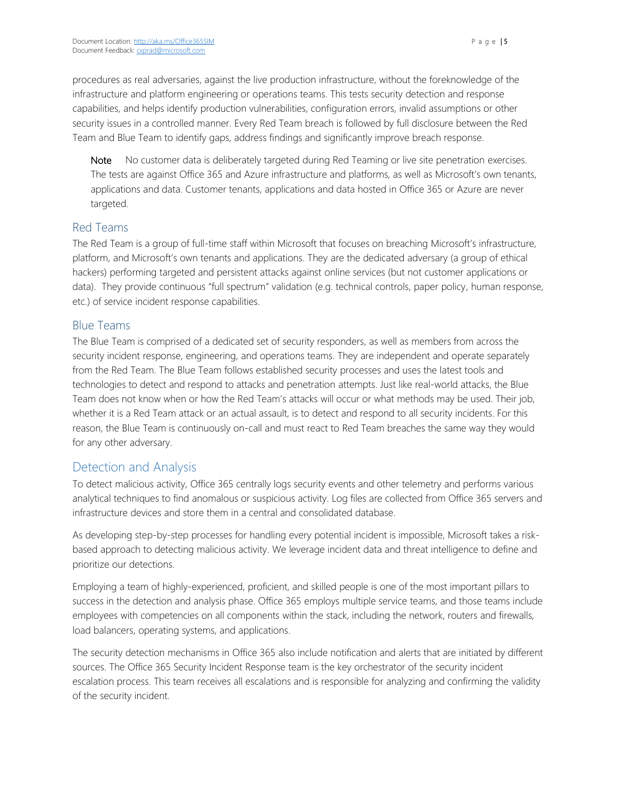procedures as real adversaries, against the live production infrastructure, without the foreknowledge of the infrastructure and platform engineering or operations teams. This tests security detection and response capabilities, and helps identify production vulnerabilities, configuration errors, invalid assumptions or other security issues in a controlled manner. Every Red Team breach is followed by full disclosure between the Red Team and Blue Team to identify gaps, address findings and significantly improve breach response.

Note No customer data is deliberately targeted during Red Teaming or live site penetration exercises. The tests are against Office 365 and Azure infrastructure and platforms, as well as Microsoft's own tenants, applications and data. Customer tenants, applications and data hosted in Office 365 or Azure are never targeted.

#### Red Teams

The Red Team is a group of full-time staff within Microsoft that focuses on breaching Microsoft's infrastructure, platform, and Microsoft's own tenants and applications. They are the dedicated adversary (a group of ethical hackers) performing targeted and persistent attacks against online services (but not customer applications or data). They provide continuous "full spectrum" validation (e.g. technical controls, paper policy, human response, etc.) of service incident response capabilities.

#### Blue Teams

The Blue Team is comprised of a dedicated set of security responders, as well as members from across the security incident response, engineering, and operations teams. They are independent and operate separately from the Red Team. The Blue Team follows established security processes and uses the latest tools and technologies to detect and respond to attacks and penetration attempts. Just like real-world attacks, the Blue Team does not know when or how the Red Team's attacks will occur or what methods may be used. Their job, whether it is a Red Team attack or an actual assault, is to detect and respond to all security incidents. For this reason, the Blue Team is continuously on-call and must react to Red Team breaches the same way they would for any other adversary.

#### Detection and Analysis

To detect malicious activity, Office 365 centrally logs security events and other telemetry and performs various analytical techniques to find anomalous or suspicious activity. Log files are collected from Office 365 servers and infrastructure devices and store them in a central and consolidated database.

As developing step-by-step processes for handling every potential incident is impossible, Microsoft takes a riskbased approach to detecting malicious activity. We leverage incident data and threat intelligence to define and prioritize our detections.

Employing a team of highly-experienced, proficient, and skilled people is one of the most important pillars to success in the detection and analysis phase. Office 365 employs multiple service teams, and those teams include employees with competencies on all components within the stack, including the network, routers and firewalls, load balancers, operating systems, and applications.

The security detection mechanisms in Office 365 also include notification and alerts that are initiated by different sources. The Office 365 Security Incident Response team is the key orchestrator of the security incident escalation process. This team receives all escalations and is responsible for analyzing and confirming the validity of the security incident.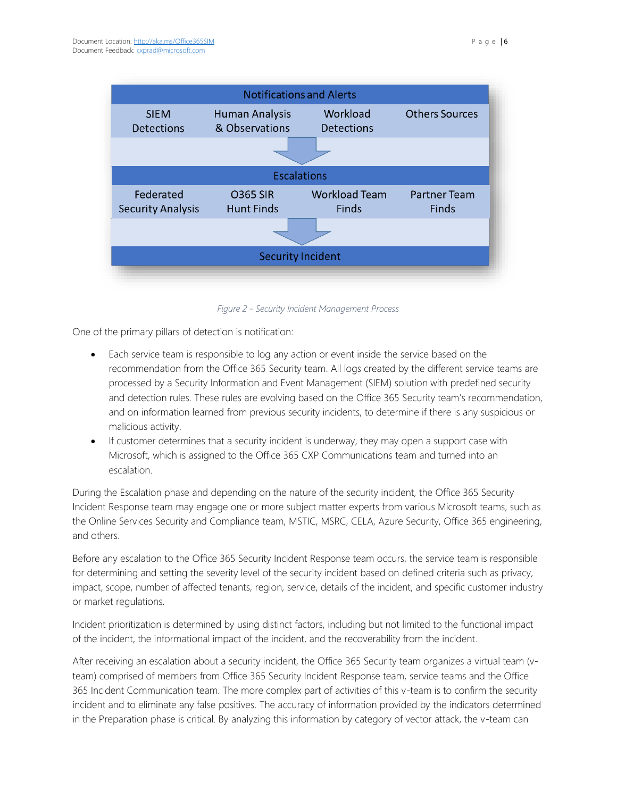

*Figure 2 - Security Incident Management Process*

One of the primary pillars of detection is notification:

- Each service team is responsible to log any action or event inside the service based on the recommendation from the Office 365 Security team. All logs created by the different service teams are processed by a Security Information and Event Management (SIEM) solution with predefined security and detection rules. These rules are evolving based on the Office 365 Security team's recommendation, and on information learned from previous security incidents, to determine if there is any suspicious or malicious activity.
- If customer determines that a security incident is underway, they may open a support case with Microsoft, which is assigned to the Office 365 CXP Communications team and turned into an escalation.

During the Escalation phase and depending on the nature of the security incident, the Office 365 Security Incident Response team may engage one or more subject matter experts from various Microsoft teams, such as the Online Services Security and Compliance team, MSTIC, MSRC, CELA, Azure Security, Office 365 engineering, and others.

Before any escalation to the Office 365 Security Incident Response team occurs, the service team is responsible for determining and setting the severity level of the security incident based on defined criteria such as privacy, impact, scope, number of affected tenants, region, service, details of the incident, and specific customer industry or market regulations.

Incident prioritization is determined by using distinct factors, including but not limited to the functional impact of the incident, the informational impact of the incident, and the recoverability from the incident.

After receiving an escalation about a security incident, the Office 365 Security team organizes a virtual team (vteam) comprised of members from Office 365 Security Incident Response team, service teams and the Office 365 Incident Communication team. The more complex part of activities of this v-team is to confirm the security incident and to eliminate any false positives. The accuracy of information provided by the indicators determined in the Preparation phase is critical. By analyzing this information by category of vector attack, the v-team can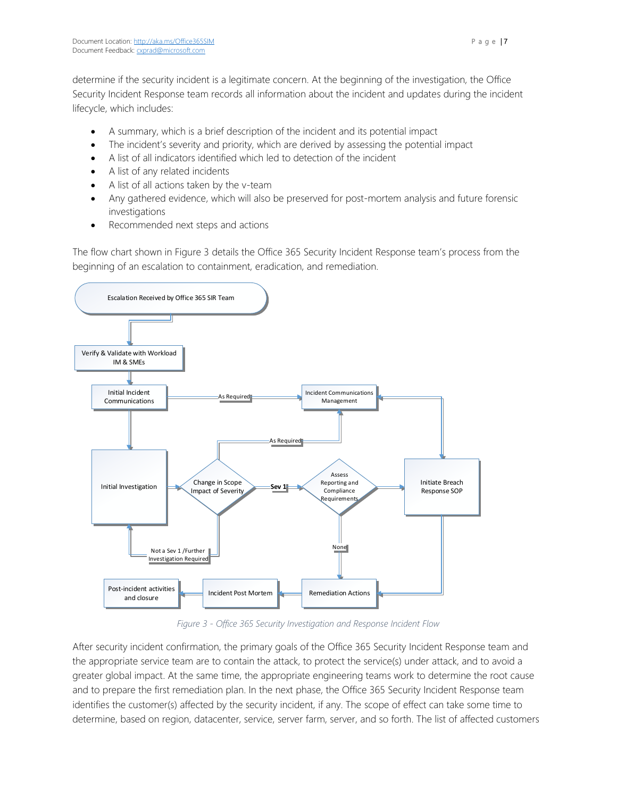determine if the security incident is a legitimate concern. At the beginning of the investigation, the Office Security Incident Response team records all information about the incident and updates during the incident lifecycle, which includes:

- A summary, which is a brief description of the incident and its potential impact
- The incident's severity and priority, which are derived by assessing the potential impact
- A list of all indicators identified which led to detection of the incident
- A list of any related incidents
- A list of all actions taken by the v-team
- Any gathered evidence, which will also be preserved for post-mortem analysis and future forensic investigations
- Recommended next steps and actions

The flow chart shown in Figure 3 details the Office 365 Security Incident Response team's process from the beginning of an escalation to containment, eradication, and remediation.



*Figure 3 - Office 365 Security Investigation and Response Incident Flow*

After security incident confirmation, the primary goals of the Office 365 Security Incident Response team and the appropriate service team are to contain the attack, to protect the service(s) under attack, and to avoid a greater global impact. At the same time, the appropriate engineering teams work to determine the root cause and to prepare the first remediation plan. In the next phase, the Office 365 Security Incident Response team identifies the customer(s) affected by the security incident, if any. The scope of effect can take some time to determine, based on region, datacenter, service, server farm, server, and so forth. The list of affected customers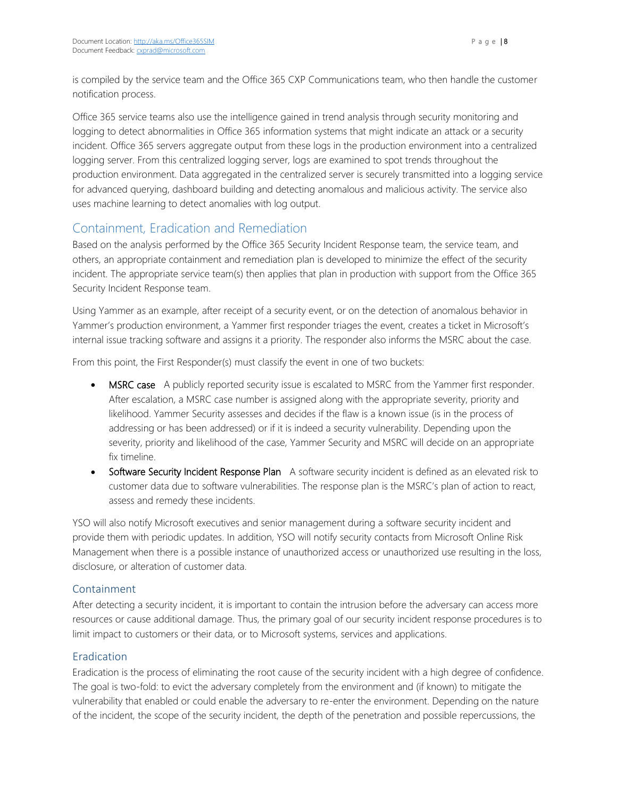is compiled by the service team and the Office 365 CXP Communications team, who then handle the customer notification process.

Office 365 service teams also use the intelligence gained in trend analysis through security monitoring and logging to detect abnormalities in Office 365 information systems that might indicate an attack or a security incident. Office 365 servers aggregate output from these logs in the production environment into a centralized logging server. From this centralized logging server, logs are examined to spot trends throughout the production environment. Data aggregated in the centralized server is securely transmitted into a logging service for advanced querying, dashboard building and detecting anomalous and malicious activity. The service also uses machine learning to detect anomalies with log output.

# Containment, Eradication and Remediation

Based on the analysis performed by the Office 365 Security Incident Response team, the service team, and others, an appropriate containment and remediation plan is developed to minimize the effect of the security incident. The appropriate service team(s) then applies that plan in production with support from the Office 365 Security Incident Response team.

Using Yammer as an example, after receipt of a security event, or on the detection of anomalous behavior in Yammer's production environment, a Yammer first responder triages the event, creates a ticket in Microsoft's internal issue tracking software and assigns it a priority. The responder also informs the MSRC about the case.

From this point, the First Responder(s) must classify the event in one of two buckets:

- MSRC case A publicly reported security issue is escalated to MSRC from the Yammer first responder. After escalation, a MSRC case number is assigned along with the appropriate severity, priority and likelihood. Yammer Security assesses and decides if the flaw is a known issue (is in the process of addressing or has been addressed) or if it is indeed a security vulnerability. Depending upon the severity, priority and likelihood of the case, Yammer Security and MSRC will decide on an appropriate fix timeline.
- Software Security Incident Response Plan A software security incident is defined as an elevated risk to customer data due to software vulnerabilities. The response plan is the MSRC's plan of action to react, assess and remedy these incidents.

YSO will also notify Microsoft executives and senior management during a software security incident and provide them with periodic updates. In addition, YSO will notify security contacts from Microsoft Online Risk Management when there is a possible instance of unauthorized access or unauthorized use resulting in the loss, disclosure, or alteration of customer data.

#### Containment

After detecting a security incident, it is important to contain the intrusion before the adversary can access more resources or cause additional damage. Thus, the primary goal of our security incident response procedures is to limit impact to customers or their data, or to Microsoft systems, services and applications.

#### Eradication

Eradication is the process of eliminating the root cause of the security incident with a high degree of confidence. The goal is two-fold: to evict the adversary completely from the environment and (if known) to mitigate the vulnerability that enabled or could enable the adversary to re-enter the environment. Depending on the nature of the incident, the scope of the security incident, the depth of the penetration and possible repercussions, the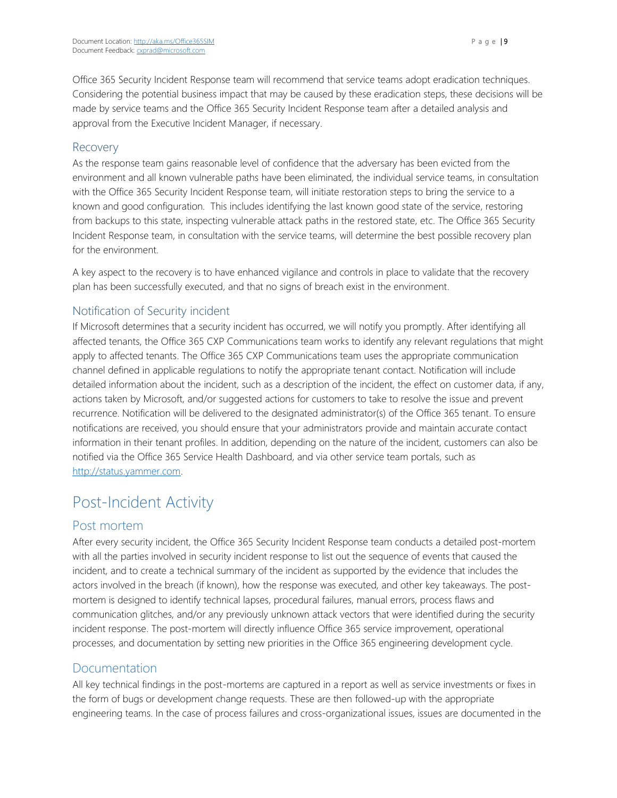Office 365 Security Incident Response team will recommend that service teams adopt eradication techniques. Considering the potential business impact that may be caused by these eradication steps, these decisions will be made by service teams and the Office 365 Security Incident Response team after a detailed analysis and approval from the Executive Incident Manager, if necessary.

#### Recovery

As the response team gains reasonable level of confidence that the adversary has been evicted from the environment and all known vulnerable paths have been eliminated, the individual service teams, in consultation with the Office 365 Security Incident Response team, will initiate restoration steps to bring the service to a known and good configuration. This includes identifying the last known good state of the service, restoring from backups to this state, inspecting vulnerable attack paths in the restored state, etc. The Office 365 Security Incident Response team, in consultation with the service teams, will determine the best possible recovery plan for the environment.

A key aspect to the recovery is to have enhanced vigilance and controls in place to validate that the recovery plan has been successfully executed, and that no signs of breach exist in the environment.

#### Notification of Security incident

If Microsoft determines that a security incident has occurred, we will notify you promptly. After identifying all affected tenants, the Office 365 CXP Communications team works to identify any relevant regulations that might apply to affected tenants. The Office 365 CXP Communications team uses the appropriate communication channel defined in applicable regulations to notify the appropriate tenant contact. Notification will include detailed information about the incident, such as a description of the incident, the effect on customer data, if any, actions taken by Microsoft, and/or suggested actions for customers to take to resolve the issue and prevent recurrence. Notification will be delivered to the designated administrator(s) of the Office 365 tenant. To ensure notifications are received, you should ensure that your administrators provide and maintain accurate contact information in their tenant profiles. In addition, depending on the nature of the incident, customers can also be notified via the Office 365 Service Health Dashboard, and via other service team portals, such as [http://status.yammer.com.](http://status.yammer.com/)

# Post-Incident Activity

#### Post mortem

After every security incident, the Office 365 Security Incident Response team conducts a detailed post-mortem with all the parties involved in security incident response to list out the sequence of events that caused the incident, and to create a technical summary of the incident as supported by the evidence that includes the actors involved in the breach (if known), how the response was executed, and other key takeaways. The postmortem is designed to identify technical lapses, procedural failures, manual errors, process flaws and communication glitches, and/or any previously unknown attack vectors that were identified during the security incident response. The post-mortem will directly influence Office 365 service improvement, operational processes, and documentation by setting new priorities in the Office 365 engineering development cycle.

#### Documentation

All key technical findings in the post-mortems are captured in a report as well as service investments or fixes in the form of bugs or development change requests. These are then followed-up with the appropriate engineering teams. In the case of process failures and cross-organizational issues, issues are documented in the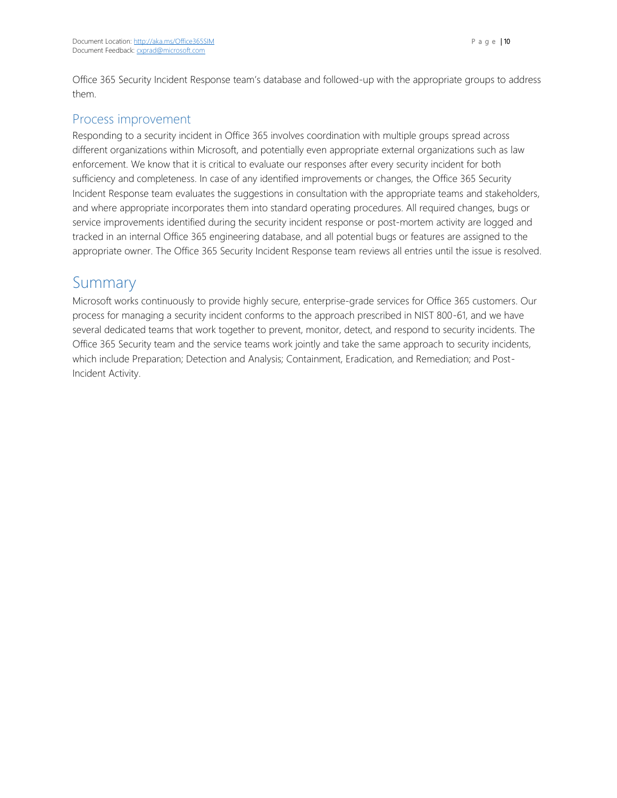Office 365 Security Incident Response team's database and followed-up with the appropriate groups to address them.

## Process improvement

Responding to a security incident in Office 365 involves coordination with multiple groups spread across different organizations within Microsoft, and potentially even appropriate external organizations such as law enforcement. We know that it is critical to evaluate our responses after every security incident for both sufficiency and completeness. In case of any identified improvements or changes, the Office 365 Security Incident Response team evaluates the suggestions in consultation with the appropriate teams and stakeholders, and where appropriate incorporates them into standard operating procedures. All required changes, bugs or service improvements identified during the security incident response or post-mortem activity are logged and tracked in an internal Office 365 engineering database, and all potential bugs or features are assigned to the appropriate owner. The Office 365 Security Incident Response team reviews all entries until the issue is resolved.

# Summary

Microsoft works continuously to provide highly secure, enterprise-grade services for Office 365 customers. Our process for managing a security incident conforms to the approach prescribed in NIST 800-61, and we have several dedicated teams that work together to prevent, monitor, detect, and respond to security incidents. The Office 365 Security team and the service teams work jointly and take the same approach to security incidents, which include Preparation; Detection and Analysis; Containment, Eradication, and Remediation; and Post-Incident Activity.